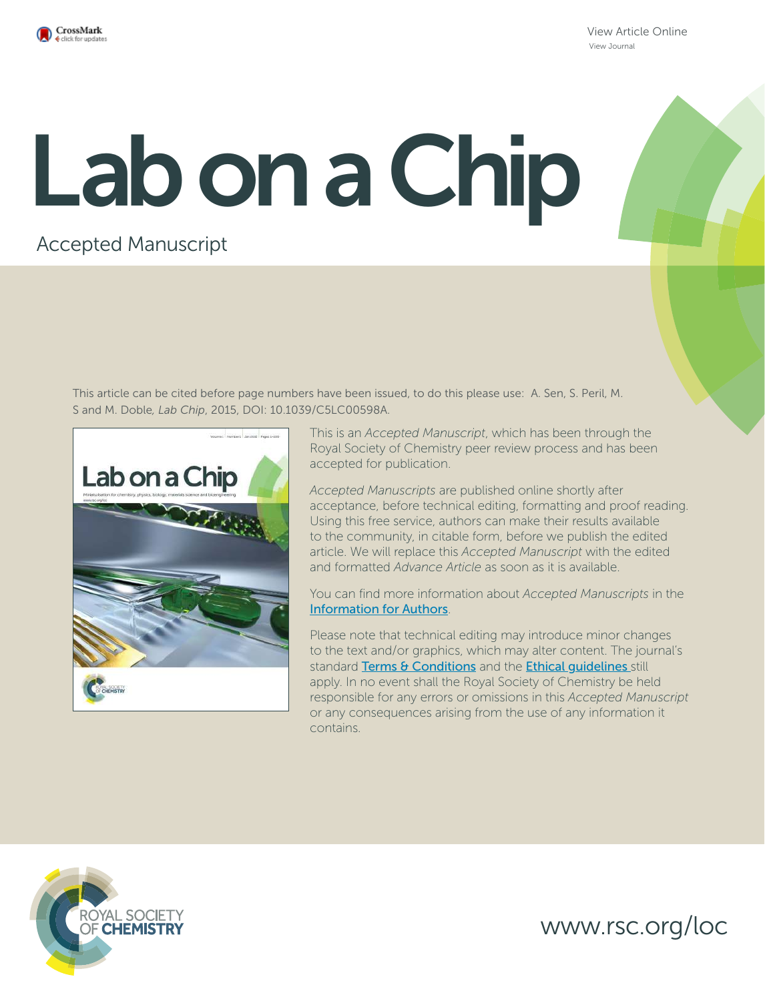

View Article Online View Journal

# Lab on a Chip

# Accepted Manuscript

This article can be cited before page numbers have been issued, to do this please use: A. Sen, S. Peril, M. S and M. Doble*, Lab Chip*, 2015, DOI: 10.1039/C5LC00598A.



This is an *Accepted Manuscript*, which has been through the Royal Society of Chemistry peer review process and has been accepted for publication.

*Accepted Manuscripts* are published online shortly after acceptance, before technical editing, formatting and proof reading. Using this free service, authors can make their results available to the community, in citable form, before we publish the edited article. We will replace this *Accepted Manuscript* with the edited and formatted *Advance Article* as soon as it is available.

You can find more information about *Accepted Manuscripts* in the Information for Authors.

Please note that technical editing may introduce minor changes to the text and/or graphics, which may alter content. The journal's standard Terms & Conditions and the Ethical quidelines still apply. In no event shall the Royal Society of Chemistry be held responsible for any errors or omissions in this *Accepted Manuscript* or any consequences arising from the use of any information it contains.



www.rsc.org/loc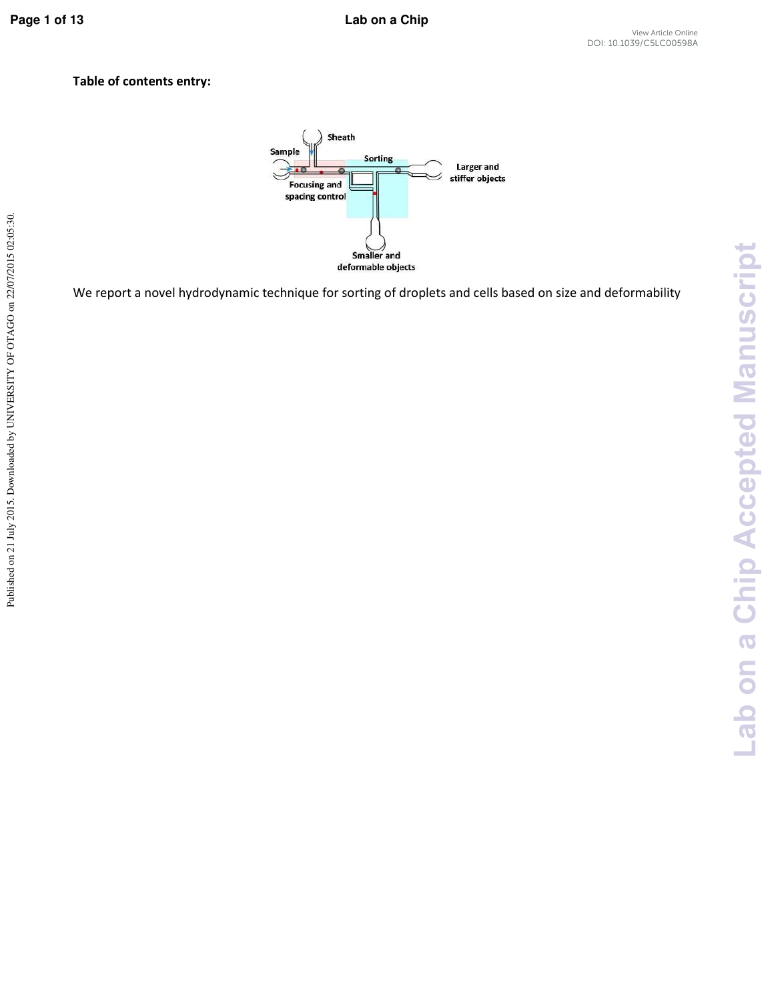**Lab on a Chip Accepted Manuscript**

-ab on a Chip Accepted Manuscript

## **Table of contents entry:**



We report a novel hydrodynamic technique for sorting of droplets and cells based on size and deformability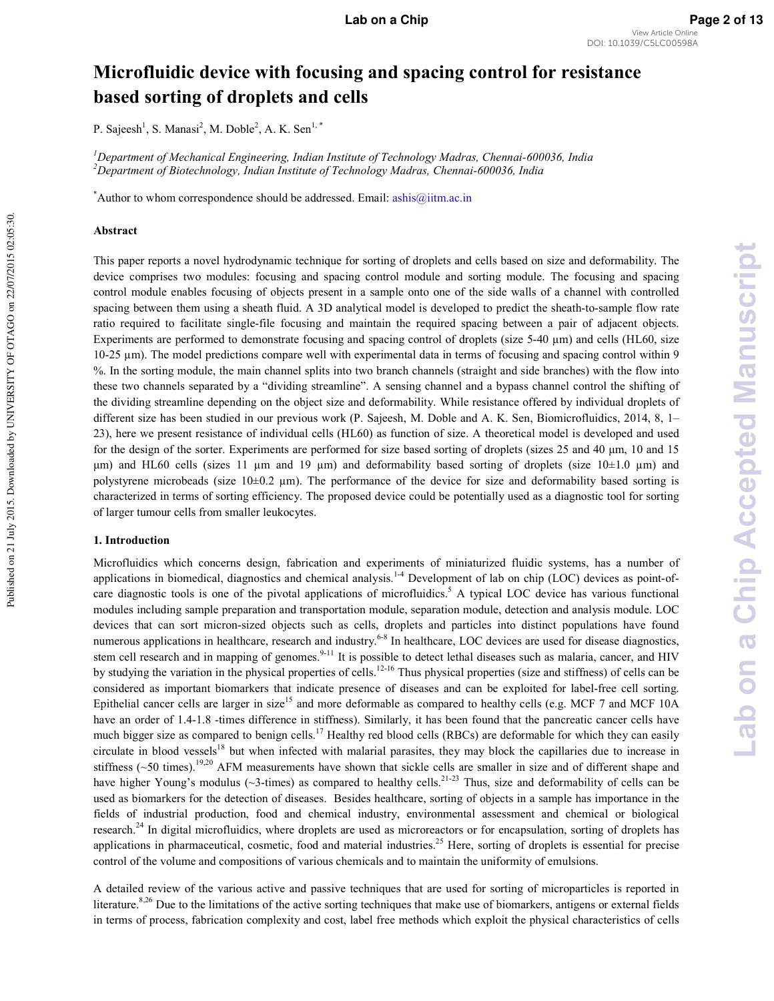## Microfluidic device with focusing and spacing control for resistance **based sorting of droplets and cells**

P. Sajeesh<sup>1</sup>, S. Manasi<sup>2</sup>, M. Doble<sup>2</sup>, A. K. Sen<sup>1,\*</sup>

*i* Department of Mechanical Engineering, Indian Institute of Technology Madras, Chennai-600036, India <sup>2</sup>Department of Biotechnology, Indian Institute of Technology Madras, Chennai-600036, India

\*Author to whom correspondence should be addressed. Email: ashis@iitm.ac.in

#### **Abstract**

This paper reports a novel hydrodynamic technique for sorting of droplets and cells based on size and deformability. The device comprises two modules: focusing and spacing control module and sorting module. The focusing and spacing control module enables focusing of objects present in a sample onto one of the side walls of a channel with controlled spacing between them using a sheath fluid. A 3D analytical model is developed to predict the sheath-to-sample flow rate ratio required to facilitate single-file focusing and maintain the required spacing between a pair of adjacent objects. Experiments are performed to demonstrate focusing and spacing control of droplets (size  $5-40 \mu m$ ) and cells (HL60, size 10-25  $\mu$ m). The model predictions compare well with experimental data in terms of focusing and spacing control within 9 %. In the sorting module, the main channel splits into two branch channels (straight and side branches) with the flow into these two channels separated by a "dividing streamline". A sensing channel and a bypass channel control the shifting of the dividing streamline depending on the object size and deformability. While resistance offered by individual droplets of different size has been studied in our previous work (P. Sajeesh, M. Doble and A. K. Sen, Biomicrofluidics, 2014, 8, 1– 23), here we present resistance of individual cells (HL60) as function of size. A theoretical model is developed and used for the design of the sorter. Experiments are performed for size based sorting of droplets (sizes  $25$  and  $40 \mu m$ , 10 and 15  $\mu$ m) and HL60 cells (sizes 11  $\mu$ m and 19  $\mu$ m) and deformability based sorting of droplets (size 10±1.0  $\mu$ m) and polystyrene microbeads (size 10±0.2 µm). The performance of the device for size and deformability based sorting is characterized in terms of sorting efficiency. The proposed device could be potentially used as a diagnostic tool for sorting of larger tumour cells from smaller leukocytes.

#### 1. Introduction

Microfluidics which concerns design, fabrication and experiments of miniaturized fluidic systems, has a number of applications in biomedical, diagnostics and chemical analysis.<sup>14</sup> Development of lab on chip (LOC) devices as point-ofcare diagnostic tools is one of the pivotal applications of microfluidics.<sup>5</sup> A typical LOC device has various functional modules including sample preparation and transportation module, separation module, detection and analysis module. LOC devices that can sort micron-sized objects such as cells, droplets and particles into distinct populations have found numerous applications in healthcare, research and industry.<sup>6-8</sup> In healthcare, LOC devices are used for disease diagnostics, stem cell research and in mapping of genomes.<sup>9-11</sup> It is possible to detect lethal diseases such as malaria, cancer, and HIV by studying the variation in the physical properties of cells.<sup>12-16</sup> Thus physical properties (size and stiffness) of cells can be considered as important biomarkers that indicate presence of diseases and can be exploited for label\*free cell sorting. Epithelial cancer cells are larger in size<sup>15</sup> and more deformable as compared to healthy cells (e.g. MCF 7 and MCF 10A have an order of 1.4-1.8 -times difference in stiffness). Similarly, it has been found that the pancreatic cancer cells have much bigger size as compared to benign cells.<sup>17</sup> Healthy red blood cells (RBCs) are deformable for which they can easily circulate in blood vessels<sup>18</sup> but when infected with malarial parasites, they may block the capillaries due to increase in stiffness ( $\sim$ 50 times).<sup>19,20</sup> AFM measurements have shown that sickle cells are smaller in size and of different shape and have higher Young's modulus ( $\sim$ 3-times) as compared to healthy cells.<sup>21-23</sup> Thus, size and deformability of cells can be used as biomarkers for the detection of diseases. Besides healthcare, sorting of objects in a sample has importance in the fields of industrial production, food and chemical industry, environmental assessment and chemical or biological research.<sup>24</sup> In digital microfluidics, where droplets are used as microreactors or for encapsulation, sorting of droplets has applications in pharmaceutical, cosmetic, food and material industries.<sup>25</sup> Here, sorting of droplets is essential for precise control of the volume and compositions of various chemicals and to maintain the uniformity of emulsions.

A detailed review of the various active and passive techniques that are used for sorting of microparticles is reported in literature.<sup>8,26</sup> Due to the limitations of the active sorting techniques that make use of biomarkers, antigens or external fields in terms of process, fabrication complexity and cost, label free methods which exploit the physical characteristics of cells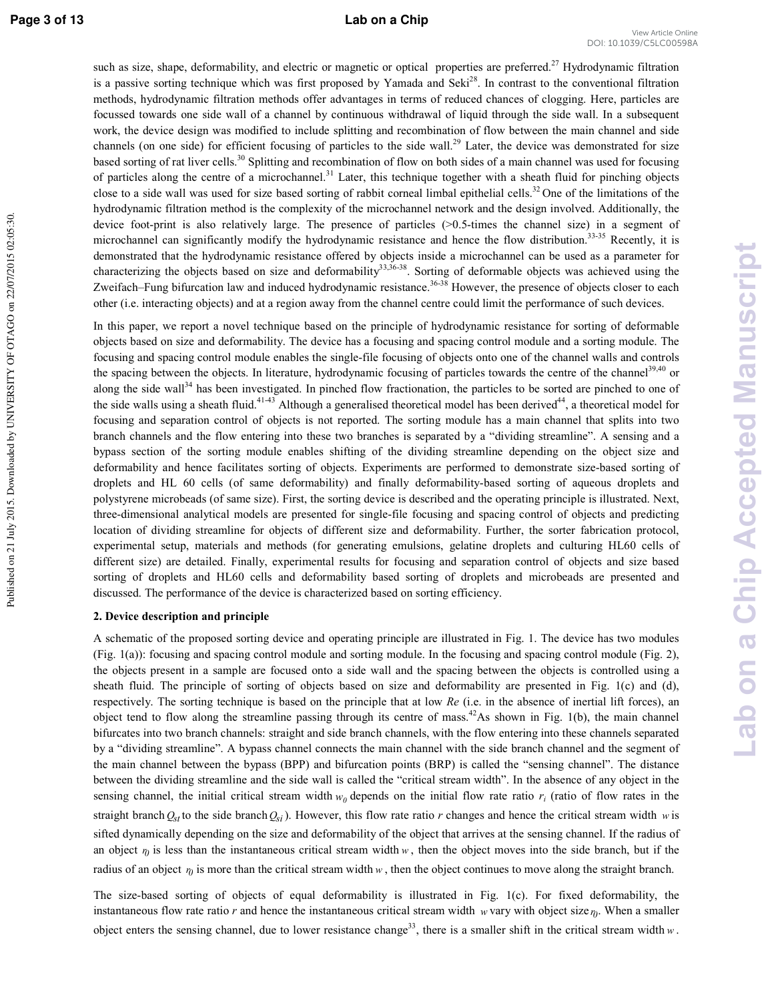Published on 21 July 2015. Downloaded by UNIVERSITY OF OTAGO on 22/07/2015 02:05:30

such as size, shape, deformability, and electric or magnetic or optical properties are preferred.<sup>27</sup> Hydrodynamic filtration is a passive sorting technique which was first proposed by Yamada and Seki<sup>28</sup>. In contrast to the conventional filtration methods, hydrodynamic filtration methods offer advantages in terms of reduced chances of clogging. Here, particles are focussed towards one side wall of a channel by continuous withdrawal of liquid through the side wall. In a subsequent work, the device design was modified to include splitting and recombination of flow between the main channel and side channels (on one side) for efficient focusing of particles to the side wall.<sup>29</sup> Later, the device was demonstrated for size based sorting of rat liver cells.<sup>30</sup> Splitting and recombination of flow on both sides of a main channel was used for focusing of particles along the centre of a microchannel.<sup>31</sup> Later, this technique together with a sheath fluid for pinching objects close to a side wall was used for size based sorting of rabbit corneal limbal epithelial cells.<sup>32</sup> One of the limitations of the hydrodynamic filtration method is the complexity of the microchannel network and the design involved. Additionally, the device foot-print is also relatively large. The presence of particles  $(>0.5$ -times the channel size) in a segment of microchannel can significantly modify the hydrodynamic resistance and hence the flow distribution.<sup>33-35</sup> Recently, it is demonstrated that the hydrodynamic resistance offered by objects inside a microchannel can be used as a parameter for characterizing the objects based on size and deformability<sup>33,36-38</sup>. Sorting of deformable objects was achieved using the Zweifach–Fung bifurcation law and induced hydrodynamic resistance.<sup>36-38</sup> However, the presence of objects closer to each other (i.e. interacting objects) and at a region away from the channel centre could limit the performance of such devices.

In this paper, we report a novel technique based on the principle of hydrodynamic resistance for sorting of deformable objects based on size and deformability. The device has a focusing and spacing control module and a sorting module. The focusing and spacing control module enables the single\*file focusing of objects onto one of the channel walls and controls the spacing between the objects. In literature, hydrodynamic focusing of particles towards the centre of the channel<sup>39,40</sup> or along the side wall<sup>34</sup> has been investigated. In pinched flow fractionation, the particles to be sorted are pinched to one of the side walls using a sheath fluid.<sup>41-43</sup> Although a generalised theoretical model has been derived<sup>44</sup>, a theoretical model for focusing and separation control of objects is not reported. The sorting module has a main channel that splits into two branch channels and the flow entering into these two branches is separated by a "dividing streamline". A sensing and a bypass section of the sorting module enables shifting of the dividing streamline depending on the object size and deformability and hence facilitates sorting of objects. Experiments are performed to demonstrate size-based sorting of droplets and HL 60 cells (of same deformability) and finally deformability-based sorting of aqueous droplets and polystyrene microbeads (of same size). First, the sorting device is described and the operating principle is illustrated. Next, three-dimensional analytical models are presented for single-file focusing and spacing control of objects and predicting location of dividing streamline for objects of different size and deformability. Further, the sorter fabrication protocol, experimental setup, materials and methods (for generating emulsions, gelatine droplets and culturing HL60 cells of different size) are detailed. Finally, experimental results for focusing and separation control of objects and size based sorting of droplets and HL60 cells and deformability based sorting of droplets and microbeads are presented and discussed. The performance of the device is characterized based on sorting efficiency.

#### 2. Device description and principle

A schematic of the proposed sorting device and operating principle are illustrated in Fig. 1. The device has two modules (Fig. 1(a)): focusing and spacing control module and sorting module. In the focusing and spacing control module (Fig. 2), the objects present in a sample are focused onto a side wall and the spacing between the objects is controlled using a sheath fluid. The principle of sorting of objects based on size and deformability are presented in Fig. 1(c) and (d), respectively. The sorting technique is based on the principle that at low *Re* (i.e. in the absence of inertial lift forces), an object tend to flow along the streamline passing through its centre of mass.<sup>42</sup>As shown in Fig. 1(b), the main channel bifurcates into two branch channels: straight and side branch channels, with the flow entering into these channels separated by a "dividing streamline". A bypass channel connects the main channel with the side branch channel and the segment of the main channel between the bypass (BPP) and bifurcation points (BRP) is called the "sensing channel". The distance between the dividing streamline and the side wall is called the "critical stream width". In the absence of any object in the sensing channel, the initial critical stream width  $w_0$  depends on the initial flow rate ratio  $r_i$  (ratio of flow rates in the straight branch  $Q_{st}$  to the side branch  $Q_{si}$ ). However, this flow rate ratio *r* changes and hence the critical stream width *w* is sifted dynamically depending on the size and deformability of the object that arrives at the sensing channel. If the radius of an object  $\eta$  is less than the instantaneous critical stream width  $w$ , then the object moves into the side branch, but if the radius of an object  $r_0$  is more than the critical stream width  $w$ , then the object continues to move along the straight branch.

The size-based sorting of objects of equal deformability is illustrated in Fig. 1(c). For fixed deformability, the instantaneous flow rate ratio  $r$  and hence the instantaneous critical stream width  $w$  vary with object size  $\eta$ . When a smaller object enters the sensing channel, due to lower resistance change<sup>33</sup>, there is a smaller shift in the critical stream width  $w$ .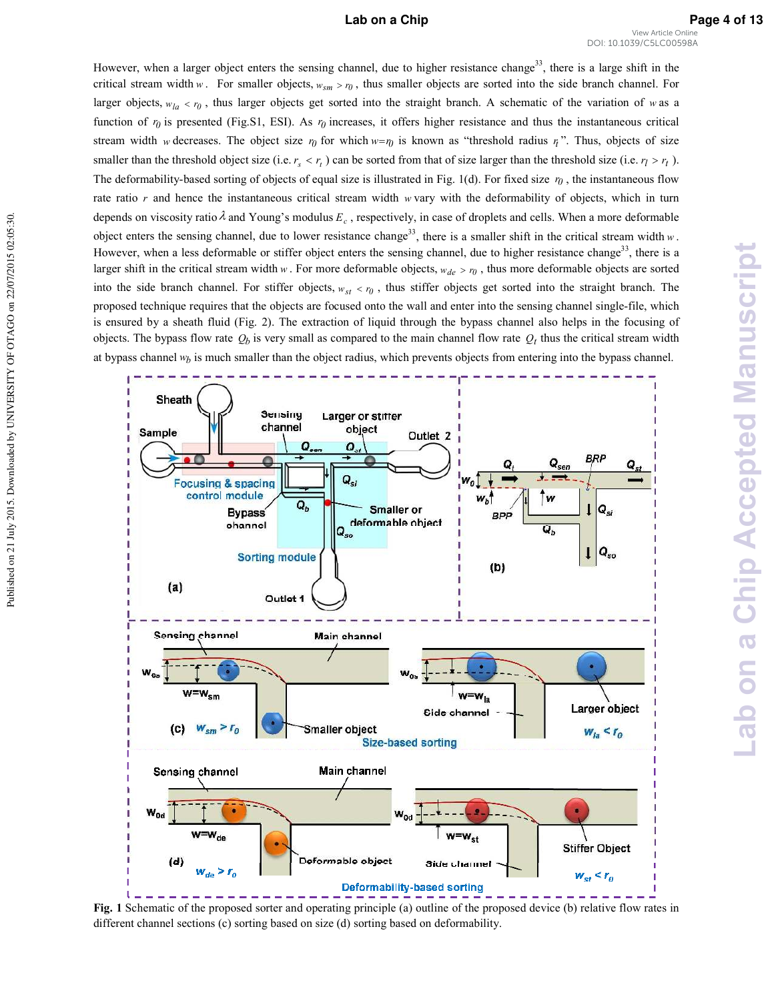#### **Lab on a Chip Page 4 of 13**

However, when a larger object enters the sensing channel, due to higher resistance change<sup>33</sup>, there is a large shift in the critical stream width *w*. For smaller objects,  $w_{sm} > r_0$ , thus smaller objects are sorted into the side branch channel. For larger objects,  $w_{la} < r_0$ , thus larger objects get sorted into the straight branch. A schematic of the variation of *w* as a function of  $r_0$  is presented (Fig.S1, ESI). As  $r_0$  increases, it offers higher resistance and thus the instantaneous critical stream width *w* decreases. The object size  $r_0$  for which  $w = r_0$  is known as "threshold radius  $r_i$ ". Thus, objects of size smaller than the threshold object size (i.e.  $r_s < r_t$ ) can be sorted from that of size larger than the threshold size (i.e.  $r_l > r_t$ ). The deformability-based sorting of objects of equal size is illustrated in Fig. 1(d). For fixed size  $r_0$ , the instantaneous flow rate ratio  $r$  and hence the instantaneous critical stream width  $w$  vary with the deformability of objects, which in turn depends on viscosity ratio  $\lambda$  and Young's modulus  $E_c$ , respectively, in case of droplets and cells. When a more deformable object enters the sensing channel, due to lower resistance change<sup>33</sup>, there is a smaller shift in the critical stream width  $w$ . However, when a less deformable or stiffer object enters the sensing channel, due to higher resistance change<sup>33</sup>, there is a larger shift in the critical stream width  $w$ . For more deformable objects,  $w_{de} > r_0$ , thus more deformable objects are sorted into the side branch channel. For stiffer objects,  $w_{st} < r_0$ , thus stiffer objects get sorted into the straight branch. The proposed technique requires that the objects are focused onto the wall and enter into the sensing channel single\*file, which is ensured by a sheath fluid (Fig. 2). The extraction of liquid through the bypass channel also helps in the focusing of objects. The bypass flow rate  $Q_b$  is very small as compared to the main channel flow rate  $Q_t$  thus the critical stream width at bypass channel *#%* is much smaller than the object radius, which prevents objects from entering into the bypass channel.



**Fig. 1** Schematic of the proposed sorter and operating principle (a) outline of the proposed device (b) relative flow rates in different channel sections (c) sorting based on size (d) sorting based on deformability.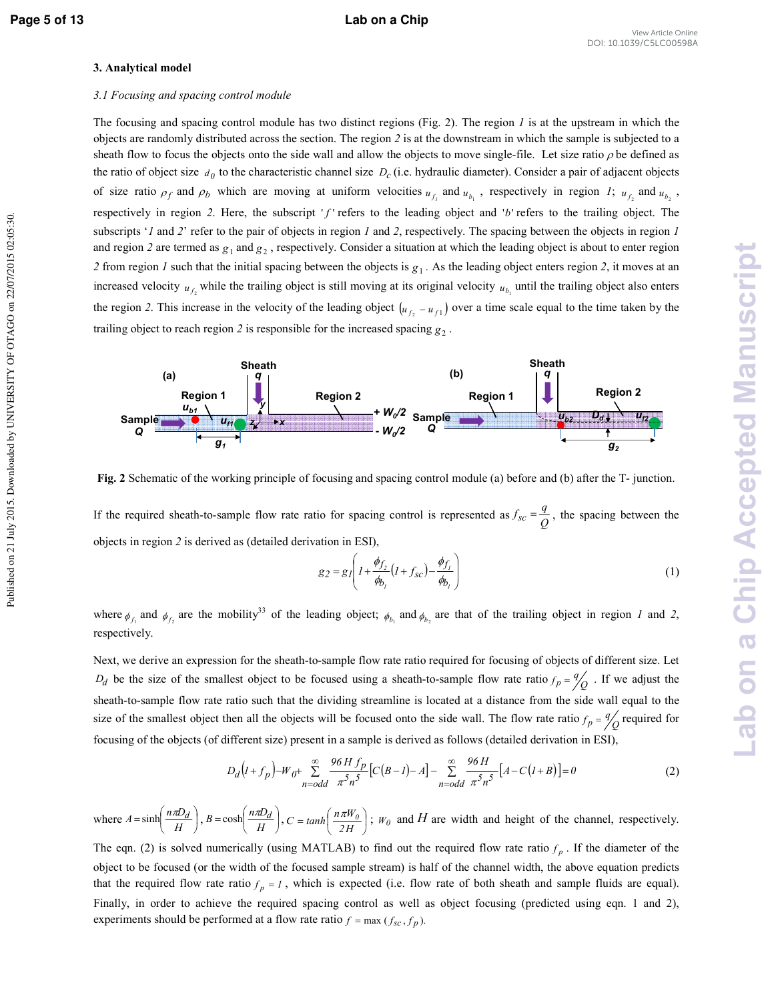Published on 21 July 2015. Downloaded by UNIVERSITY OF OTAGO on 22/07/2015 02:05:30

#### **3. Analytical model**

#### 3.1 Focusing and spacing control module

The focusing and spacing control module has two distinct regions (Fig. 2). The region  $I$  is at the upstream in which the objects are randomly distributed across the section. The region  $2$  is at the downstream in which the sample is subjected to a sheath flow to focus the objects onto the side wall and allow the objects to move single-file. Let size ratio  $\rho$  be defined as the ratio of object size  $d_0$  to the characteristic channel size  $D_c$  (i.e. hydraulic diameter). Consider a pair of adjacent objects of size ratio  $\rho_f$  and  $\rho_b$  which are moving at uniform velocities  $u_{f_i}$  and  $u_{b_i}$ , respectively in region *I*;  $u_{f_2}$  and  $u_{b_2}$ , respectively in region 2. Here, the subscript 'f' refers to the leading object and 'b' refers to the trailing object. The subscripts '*I* and 2' refer to the pair of objects in region *I* and 2, respectively. The spacing between the objects in region *I* and region 2 are termed as  $g_1$  and  $g_2$ , respectively. Consider a situation at which the leading object is about to enter region 2 from region *I* such that the initial spacing between the objects is  $g_1$ . As the leading object enters region 2, it moves at an increased velocity  $u_{f_2}$  while the trailing object is still moving at its original velocity  $u_{b_1}$  until the trailing object also enters the region 2. This increase in the velocity of the leading object  $(u_{f_2} - u_{f_1})$  over a time scale equal to the time taken by the trailing object to reach region 2 is responsible for the increased spacing  $g_2$ .



**Fig. 2** Schematic of the working principle of focusing and spacing control module (a) before and (b) after the T- junction.

If the required sheath-to-sample flow rate ratio for spacing control is represented as  $f_{sc} = \frac{q}{Q}$  $f_{sc} = \frac{q}{Q}$ , the spacing between the objects in region is derived as (detailed derivation in ESI),

$$
g_2 = g_1 \left( 1 + \frac{\phi_{f_2}}{\phi_{b_1}} \left( 1 + f_{sc} \right) - \frac{\phi_{f_1}}{\phi_{b_1}} \right)
$$
 (1)

where  $\phi_{f_1}$  and  $\phi_{f_2}$  are the mobility<sup>33</sup> of the leading object;  $\phi_{b_1}$  and  $\phi_{b_2}$  are that of the trailing object in region *1* and 2, respectively.

Next, we derive an expression for the sheath-to-sample flow rate ratio required for focusing of objects of different size. Let  $D_d$  be the size of the smallest object to be focused using a sheath-to-sample flow rate ratio  $f_p = \frac{q}{Q}$ . If we adjust the sheath-to-sample flow rate ratio such that the dividing streamline is located at a distance from the side wall equal to the size of the smallest object then all the objects will be focused onto the side wall. The flow rate ratio  $f_p = \frac{q}{Q}$  required for focusing of the objects (of different size) present in a sample is derived as follows (detailed derivation in ESI),

$$
D_d(l+f_p) - W_{0^+} \sum_{n=odd}^{\infty} \frac{96 H f_p}{\pi^5 n^5} [C(B-l) - A] - \sum_{n=odd}^{\infty} \frac{96 H}{\pi^5 n^5} [A - C(l+B)] = 0
$$
 (2)

where  $A = \sinh\left(\frac{mZ_a}{H}\right)$  $\left(\frac{n\pi D_d}{H}\right)$  $=\sinh\left(\frac{n\pi L}{H}\right)$  $A = \sinh\left(\frac{n\pi D_d}{H}\right), B = \cosh\left(\frac{n\pi D_d}{H}\right)$  $\left(\frac{n\pi D_d}{H}\right)$  $=\cosh\left(\frac{n\pi L}{H}\right)$  $B = \cosh\left(\frac{n\pi D_d}{H}\right), C = \tanh\left(\frac{n\pi W_0}{2H}\right)$  $\left(\frac{n\pi W_0}{2H}\right)$  $= \tanh\left(\frac{n\pi W}{2H}\right)$  $C = \tanh\left(\frac{n\pi W_0}{2H}\right)$ ;  $W_0$  and *H* are width and height of the channel, respectively.

The eqn. (2) is solved numerically (using MATLAB) to find out the required flow rate ratio  $f_p$ . If the diameter of the object to be focused (or the width of the focused sample stream) is half of the channel width, the above equation predicts that the required flow rate ratio  $f_p = 1$ , which is expected (i.e. flow rate of both sheath and sample fluids are equal). Finally, in order to achieve the required spacing control as well as object focusing (predicted using eqn. 1 and 2), experiments should be performed at a flow rate ratio  $f = \max ( f_{sc}, f_p)$ .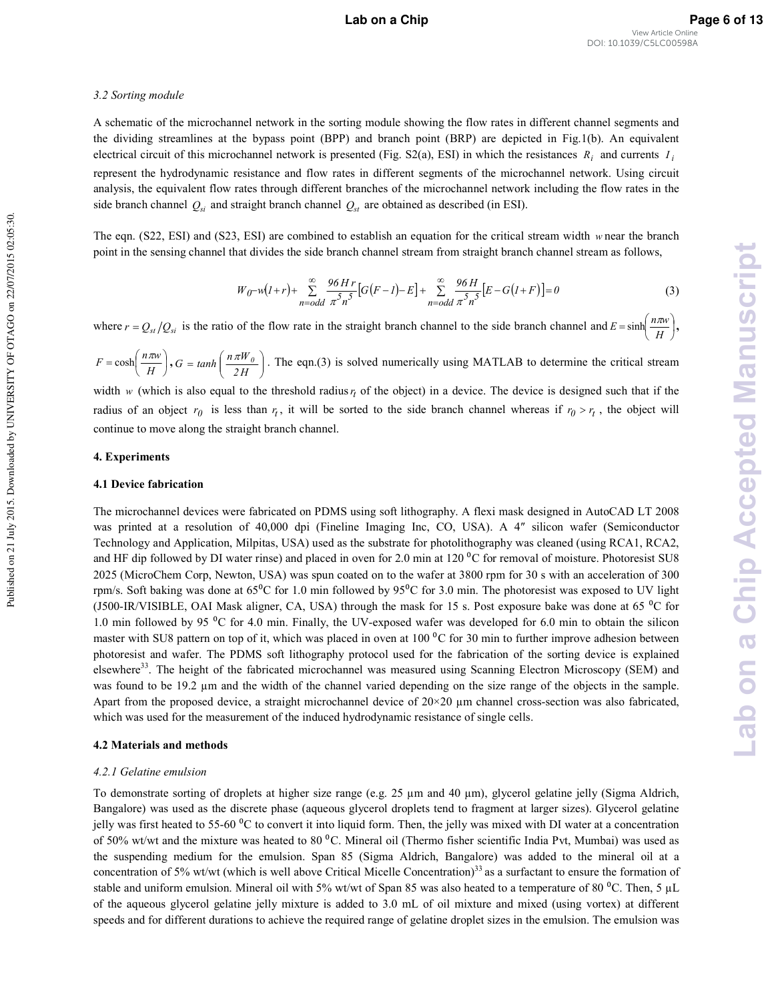#### 3.2 Sorting module

A schematic of the microchannel network in the sorting module showing the flow rates in different channel segments and the dividing streamlines at the bypass point (BPP) and branch point (BRP) are depicted in Fig.1(b). An equivalent electrical circuit of this microchannel network is presented (Fig. S2(a), ESI) in which the resistances  $R_i$  and currents  $I_i$ represent the hydrodynamic resistance and flow rates in different segments of the microchannel network. Using circuit analysis, the equivalent flow rates through different branches of the microchannel network including the flow rates in the side branch channel  $Q_{si}$  and straight branch channel  $Q_{st}$  are obtained as described (in ESI).

The eqn.  $(S22, ESI)$  and  $(S23, ESI)$  are combined to establish an equation for the critical stream width *w* near the branch point in the sensing channel that divides the side branch channel stream from straight branch channel stream as follows,

$$
W_0 - w(l+r) + \sum_{n=odd}^{\infty} \frac{96 H r}{\pi^5 n^5} [G(F-l) - E] + \sum_{n=odd}^{\infty} \frac{96 H}{\pi^5 n^5} [E - G(l+F)] = 0
$$
 (3)

where  $r = Q_{st}/Q_{si}$  is the ratio of the flow rate in the straight branch channel to the side branch channel and  $E = \sinh\left(\frac{n\omega_{si}}{H}\right)$  $\left(\frac{n\pi w}{H}\right)$  $=\sinh\left(\frac{n\pi}{H}\right)$  $E = \sinh\left(\frac{n\pi w}{H}\right),$ 

 $\bigg)$  $\left(\frac{n\pi w}{H}\right)$  $=\cosh\left(\frac{n\pi}{H}\right)$  $F = \cosh\left(\frac{n\pi w}{H}\right)$ ,  $G = \tanh\left(\frac{n\pi W_0}{2H}\right)$ J Ι I ∖  $= \tanh\left(\frac{n\pi W}{2H}\right)$  $G = \tanh\left(\frac{n\pi W_0}{2\pi\sigma}\right)$ . The eqn.(3) is solved numerically using MATLAB to determine the critical stream

width *w* (which is also equal to the threshold radius  $r_t$  of the object) in a device. The device is designed such that if the radius of an object  $r_0$  is less than  $r_t$ , it will be sorted to the side branch channel whereas if  $r_0 > r_t$ , the object will continue to move along the straight branch channel.

#### 4. Experiments

#### **4.1 Device fabrication**

The microchannel devices were fabricated on PDMS using soft lithography. A flexi mask designed in AutoCAD LT 2008 was printed at a resolution of 40,000 dpi (Fineline Imaging Inc, CO, USA). A 4" silicon wafer (Semiconductor Technology and Application, Milpitas, USA) used as the substrate for photolithography was cleaned (using RCA1, RCA2, and HF dip followed by DI water rinse) and placed in oven for 2.0 min at 120 $\rm{^0C}$  for removal of moisture. Photoresist SU8 2025 (MicroChem Corp, Newton, USA) was spun coated on to the wafer at 3800 rpm for 30 s with an acceleration of 300 rpm/s. Soft baking was done at  $65^{\circ}$ C for 1.0 min followed by  $95^{\circ}$ C for 3.0 min. The photoresist was exposed to UV light (J500-IR/VISIBLE, OAI Mask aligner, CA, USA) through the mask for 15 s. Post exposure bake was done at 65  $\rm{^{\circ}C}$  for 1.0 min followed by 95  $\rm{^0C}$  for 4.0 min. Finally, the UV-exposed wafer was developed for 6.0 min to obtain the silicon master with SU8 pattern on top of it, which was placed in oven at  $100<sup>o</sup>C$  for 30 min to further improve adhesion between photoresist and wafer. The PDMS soft lithography protocol used for the fabrication of the sorting device is explained elsewhere<sup>33</sup>. The height of the fabricated microchannel was measured using Scanning Electron Microscopy (SEM) and was found to be 19.2 µm and the width of the channel varied depending on the size range of the objects in the sample. Apart from the proposed device, a straight microchannel device of  $20\times20$  µm channel cross-section was also fabricated, which was used for the measurement of the induced hydrodynamic resistance of single cells.

#### **4.2 Materials and methods**

#### 4.2.1 Gelatine emulsion

To demonstrate sorting of droplets at higher size range (e.g. 25  $\mu$ m and 40  $\mu$ m), glycerol gelatine jelly (Sigma Aldrich, Bangalore) was used as the discrete phase (aqueous glycerol droplets tend to fragment at larger sizes). Glycerol gelatine jelly was first heated to 55-60  $\rm{^0C}$  to convert it into liquid form. Then, the jelly was mixed with DI water at a concentration of 50% wt/wt and the mixture was heated to 80 °C. Mineral oil (Thermo fisher scientific India Pvt, Mumbai) was used as the suspending medium for the emulsion. Span 85 (Sigma Aldrich, Bangalore) was added to the mineral oil at a concentration of  $5\%$  wt/wt (which is well above Critical Micelle Concentration) $33$  as a surfactant to ensure the formation of stable and uniform emulsion. Mineral oil with 5% wt/wt of Span 85 was also heated to a temperature of 80  $^{\circ}$ C. Then, 5 µL of the aqueous glycerol gelatine jelly mixture is added to 3.0 mL of oil mixture and mixed (using vortex) at different speeds and for different durations to achieve the required range of gelatine droplet sizes in the emulsion. The emulsion was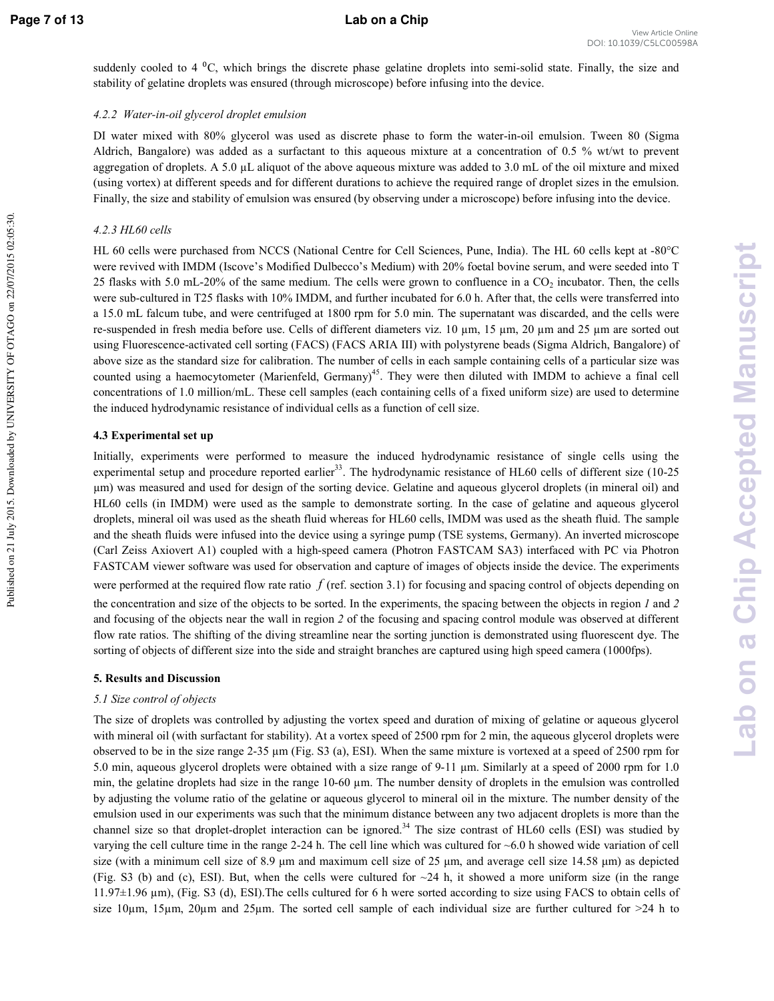Published on 21 July 2015. Downloaded by UNIVERSITY OF OTAGO on 22/07/2015 02:05:30

suddenly cooled to 4  $^{0}C$ , which brings the discrete phase gelatine droplets into semi-solid state. Finally, the size and stability of gelatine droplets was ensured (through microscope) before infusing into the device.

#### 4.2.2 Water-in-oil glycerol droplet emulsion

DI water mixed with 80% glycerol was used as discrete phase to form the water-in-oil emulsion. Tween 80 (Sigma Aldrich, Bangalore) was added as a surfactant to this aqueous mixture at a concentration of 0.5 % wt/wt to prevent aggregation of droplets. A 5.0  $\mu$ L aliquot of the above aqueous mixture was added to 3.0 mL of the oil mixture and mixed (using vortex) at different speeds and for different durations to achieve the required range of droplet sizes in the emulsion. Finally, the size and stability of emulsion was ensured (by observing under a microscope) before infusing into the device.

### *4.2.3 HL60 cells*

HL 60 cells were purchased from NCCS (National Centre for Cell Sciences, Pune, India). The HL 60 cells kept at -80°C were revived with IMDM (Iscove's Modified Dulbecco's Medium) with 20% foetal bovine serum, and were seeded into T 25 flasks with 5.0 mL-20% of the same medium. The cells were grown to confluence in a  $CO<sub>2</sub>$  incubator. Then, the cells were sub-cultured in T25 flasks with 10% IMDM, and further incubated for 6.0 h. After that, the cells were transferred into a 15.0 mL falcum tube, and were centrifuged at 1800 rpm for 5.0 min. The supernatant was discarded, and the cells were re-suspended in fresh media before use. Cells of different diameters viz. 10  $\mu$ m, 15  $\mu$ m, 20  $\mu$ m and 25  $\mu$ m are sorted out using Fluorescence-activated cell sorting (FACS) (FACS ARIA III) with polystyrene beads (Sigma Aldrich, Bangalore) of above size as the standard size for calibration. The number of cells in each sample containing cells of a particular size was counted using a haemocytometer (Marienfeld, Germany)<sup>45</sup>. They were then diluted with IMDM to achieve a final cell concentrations of 1.0 million/mL. These cell samples (each containing cells of a fixed uniform size) are used to determine the induced hydrodynamic resistance of individual cells as a function of cell size.

#### **4.3 Experimental set up**

Initially, experiments were performed to measure the induced hydrodynamic resistance of single cells using the experimental setup and procedure reported earlier<sup>33</sup>. The hydrodynamic resistance of HL60 cells of different size (10-25) µm) was measured and used for design of the sorting device. Gelatine and aqueous glycerol droplets (in mineral oil) and HL60 cells (in IMDM) were used as the sample to demonstrate sorting. In the case of gelatine and aqueous glycerol droplets, mineral oil was used as the sheath fluid whereas for HL60 cells, IMDM was used as the sheath fluid. The sample and the sheath fluids were infused into the device using a syringe pump (TSE systems, Germany). An inverted microscope (Carl Zeiss Axiovert A1) coupled with a high\*speed camera (Photron FASTCAM SA3) interfaced with PC via Photron FASTCAM viewer software was used for observation and capture of images of objects inside the device. The experiments

were performed at the required flow rate ratio  $f$  (ref. section 3.1) for focusing and spacing control of objects depending on the concentration and size of the objects to be sorted. In the experiments, the spacing between the objects in region  $I$  and  $2$ and focusing of the objects near the wall in region 2 of the focusing and spacing control module was observed at different flow rate ratios. The shifting of the diving streamline near the sorting junction is demonstrated using fluorescent dye. The sorting of objects of different size into the side and straight branches are captured using high speed camera (1000fps).

#### **5. Results and Discussion**

#### 5.1 Size control of objects

The size of droplets was controlled by adjusting the vortex speed and duration of mixing of gelatine or aqueous glycerol with mineral oil (with surfactant for stability). At a vortex speed of 2500 rpm for 2 min, the aqueous glycerol droplets were observed to be in the size range  $2-35 \mu m$  (Fig. S3 (a), ESI). When the same mixture is vortexed at a speed of  $2500$  rpm for 5.0 min, aqueous glycerol droplets were obtained with a size range of 9-11  $\mu$ m. Similarly at a speed of 2000 rpm for 1.0 min, the gelatine droplets had size in the range  $10-60 \mu m$ . The number density of droplets in the emulsion was controlled by adjusting the volume ratio of the gelatine or aqueous glycerol to mineral oil in the mixture. The number density of the emulsion used in our experiments was such that the minimum distance between any two adjacent droplets is more than the channel size so that droplet-droplet interaction can be ignored.<sup>34</sup> The size contrast of HL60 cells (ESI) was studied by varying the cell culture time in the range 2-24 h. The cell line which was cultured for  $~6.0$  h showed wide variation of cell size (with a minimum cell size of 8.9  $\mu$ m and maximum cell size of 25  $\mu$ m, and average cell size 14.58  $\mu$ m) as depicted (Fig. S3 (b) and (c), ESI). But, when the cells were cultured for  $\sim$ 24 h, it showed a more uniform size (in the range 11.97±1.96 µm), (Fig. S3 (d), ESI).The cells cultured for 6 h were sorted according to size using FACS to obtain cells of size 10 $\mu$ m, 15 $\mu$ m, 20 $\mu$ m and 25 $\mu$ m. The sorted cell sample of each individual size are further cultured for  $>$ 24 h to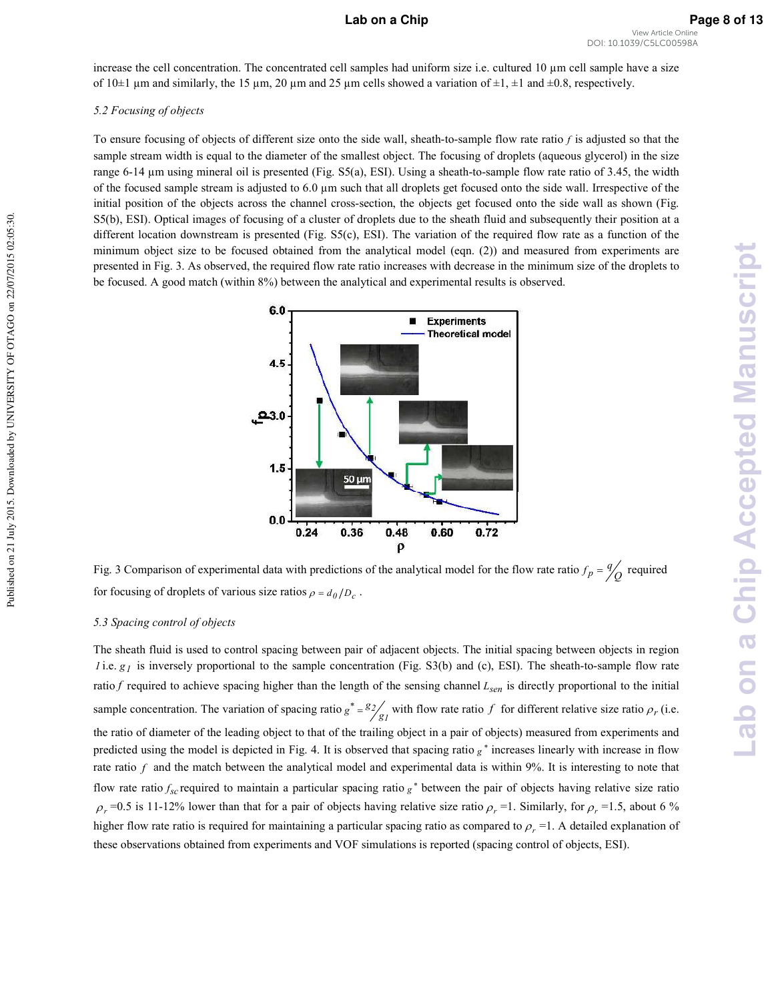**Lab on a Chip Accepted Manuscript**

**Lab on a Chip Accepted Manuscript** 

increase the cell concentration. The concentrated cell samples had uniform size i.e. cultured 10 µm cell sample have a size of  $10\pm1$  µm and similarly, the 15 µm, 20 µm and 25 µm cells showed a variation of  $\pm1$ ,  $\pm1$  and  $\pm0.8$ , respectively.

#### 5.2 Focusing of objects

To ensure focusing of objects of different size onto the side wall, sheath-to-sample flow rate ratio  $f$  is adjusted so that the sample stream width is equal to the diameter of the smallest object. The focusing of droplets (aqueous glycerol) in the size range 6-14  $\mu$ m using mineral oil is presented (Fig. S5(a), ESI). Using a sheath-to-sample flow rate ratio of 3.45, the width of the focused sample stream is adjusted to 6.0 µm such that all droplets get focused onto the side wall. Irrespective of the initial position of the objects across the channel cross-section, the objects get focused onto the side wall as shown (Fig. S5(b), ESI). Optical images of focusing of a cluster of droplets due to the sheath fluid and subsequently their position at a different location downstream is presented (Fig. S5(c), ESI). The variation of the required flow rate as a function of the minimum object size to be focused obtained from the analytical model (eqn. (2)) and measured from experiments are presented in Fig. 3. As observed, the required flow rate ratio increases with decrease in the minimum size of the droplets to be focused. A good match (within 8%) between the analytical and experimental results is observed.



Fig. 3 Comparison of experimental data with predictions of the analytical model for the flow rate ratio  $f_p = \frac{q}{q}$  required for focusing of droplets of various size ratios  $\rho = d_0/D_c$ .

#### 5.3 Spacing control of objects

The sheath fluid is used to control spacing between pair of adjacent objects. The initial spacing between objects in region *l* i.e.  $g_l$  is inversely proportional to the sample concentration (Fig. S3(b) and (c), ESI). The sheath-to-sample flow rate ratio  $f$  required to achieve spacing higher than the length of the sensing channel  $L_{sen}$  is directly proportional to the initial sample concentration. The variation of spacing ratio  $g^* = \frac{g_2}{g_1}$  $\frac{2}{8}$  $g^* = \frac{g_2}{g}$  with flow rate ratio f for different relative size ratio  $\rho_r$  (i.e. the ratio of diameter of the leading object to that of the trailing object in a pair of objects) measured from experiments and predicted using the model is depicted in Fig. 4. It is observed that spacing ratio  $g^*$  increases linearly with increase in flow rate ratio  $f$  and the match between the analytical model and experimental data is within  $9\%$ . It is interesting to note that flow rate ratio  $f_{sc}$  required to maintain a particular spacing ratio  $g^*$  between the pair of objects having relative size ratio  $\rho_r$  =0.5 is 11-12% lower than that for a pair of objects having relative size ratio  $\rho_r$  =1. Similarly, for  $\rho_r$  =1.5, about 6 % higher flow rate ratio is required for maintaining a particular spacing ratio as compared to  $\rho_r = 1$ . A detailed explanation of these observations obtained from experiments and VOF simulations is reported (spacing control of objects, ESI).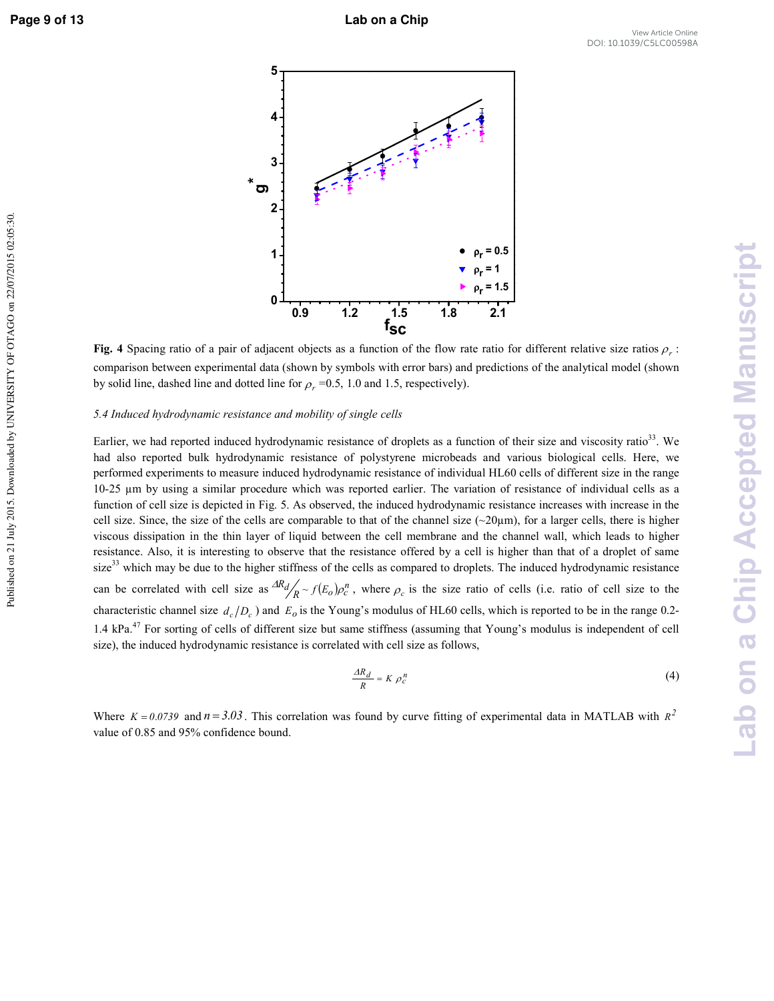Published on 21 July 2015. Downloaded by UNIVERSITY OF OTAGO on 22/07/2015 02:05:30



**Fig. 4 Spacing ratio of a pair of adjacent objects as a function of the flow rate ratio for different relative size ratios**  $\rho_r$ **:** comparison between experimental data (shown by symbols with error bars) and predictions of the analytical model (shown by solid line, dashed line and dotted line for  $\rho_r = 0.5$ , 1.0 and 1.5, respectively).

#### 5.4 Induced hydrodynamic resistance and mobility of single cells

Earlier, we had reported induced hydrodynamic resistance of droplets as a function of their size and viscosity ratio<sup>33</sup>. We had also reported bulk hydrodynamic resistance of polystyrene microbeads and various biological cells. Here, we performed experiments to measure induced hydrodynamic resistance of individual HL60 cells of different size in the range  $10-25$  µm by using a similar procedure which was reported earlier. The variation of resistance of individual cells as a function of cell size is depicted in Fig. 5. As observed, the induced hydrodynamic resistance increases with increase in the cell size. Since, the size of the cells are comparable to that of the channel size  $(\sim 20\mu m)$ , for a larger cells, there is higher viscous dissipation in the thin layer of liquid between the cell membrane and the channel wall, which leads to higher resistance. Also, it is interesting to observe that the resistance offered by a cell is higher than that of a droplet of same size<sup>33</sup> which may be due to the higher stiffness of the cells as compared to droplets. The induced hydrodynamic resistance can be correlated with cell size as  $\frac{dR_d}{R} \sim f(E_o) \rho_c^p$  $\frac{dR_d}{R} \sim f(E_o)\rho_c^n$ , where  $\rho_c$  is the size ratio of cells (i.e. ratio of cell size to the characteristic channel size  $d_c/D_c$ ) and  $E_o$  is the Young's modulus of HL60 cells, which is reported to be in the range 0.2-1.4 kPa.<sup>47</sup> For sorting of cells of different size but same stiffness (assuming that Young's modulus is independent of cell size), the induced hydrodynamic resistance is correlated with cell size as follows,

$$
\frac{AR_d}{R} = K \rho_c^n \tag{4}
$$

Where  $K = 0.0739$  and  $n = 3.03$ . This correlation was found by curve fitting of experimental data in MATLAB with  $R^2$ value of 0.85 and 95% confidence bound.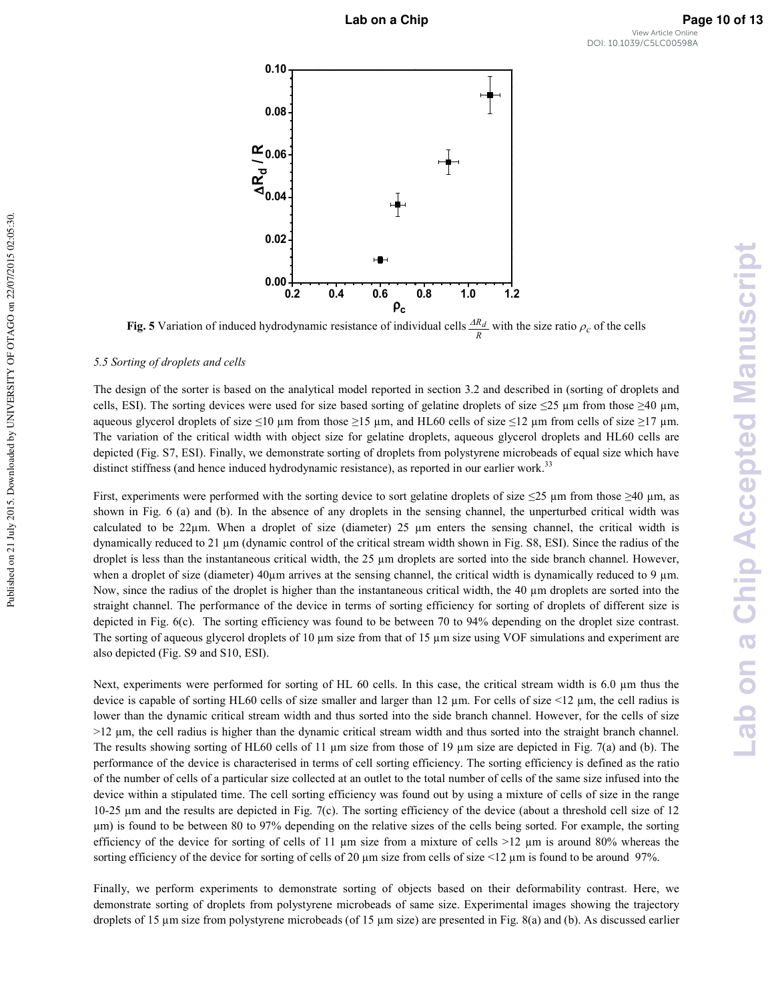

**Fig. 5** Variation of induced hydrodynamic resistance of individual cells  $\frac{AR_d}{R}$  with the size ratio  $\rho_c$  of the cells

#### 5.5 Sorting of droplets and cells

The design of the sorter is based on the analytical model reported in section 3.2 and described in (sorting of droplets and cells, ESI). The sorting devices were used for size based sorting of gelatine droplets of size  $\leq 25$  µm from those  $\geq 40$  µm, aqueous glycerol droplets of size  $\leq$ 10 µm from those  $\geq$ 15 µm, and HL60 cells of size  $\leq$ 12 µm from cells of size  $\geq$ 17 µm. The variation of the critical width with object size for gelatine droplets, aqueous glycerol droplets and HL60 cells are depicted (Fig. S7, ESI). Finally, we demonstrate sorting of droplets from polystyrene microbeads of equal size which have distinct stiffness (and hence induced hydrodynamic resistance), as reported in our earlier work.<sup>33</sup>

First, experiments were performed with the sorting device to sort gelatine droplets of size  $\leq$ 25 µm from those  $\geq$ 40 µm, as shown in Fig. 6 (a) and (b). In the absence of any droplets in the sensing channel, the unperturbed critical width was calculated to be 22 $\mu$ m. When a droplet of size (diameter) 25  $\mu$ m enters the sensing channel, the critical width is dynamically reduced to 21 µm (dynamic control of the critical stream width shown in Fig. S8, ESI). Since the radius of the droplet is less than the instantaneous critical width, the 25  $\mu$ m droplets are sorted into the side branch channel. However, when a droplet of size (diameter)  $40\mu$ m arrives at the sensing channel, the critical width is dynamically reduced to 9  $\mu$ m. Now, since the radius of the droplet is higher than the instantaneous critical width, the 40 µm droplets are sorted into the straight channel. The performance of the device in terms of sorting efficiency for sorting of droplets of different size is depicted in Fig. 6(c). The sorting efficiency was found to be between 70 to 94% depending on the droplet size contrast. The sorting of aqueous glycerol droplets of 10  $\mu$ m size from that of 15  $\mu$ m size using VOF simulations and experiment are also depicted (Fig. S9 and S10, ESI).

Next, experiments were performed for sorting of HL 60 cells. In this case, the critical stream width is 6.0 µm thus the device is capable of sorting HL60 cells of size smaller and larger than 12  $\mu$ m. For cells of size <12  $\mu$ m, the cell radius is lower than the dynamic critical stream width and thus sorted into the side branch channel. However, for the cells of size >12 µm, the cell radius is higher than the dynamic critical stream width and thus sorted into the straight branch channel. The results showing sorting of HL60 cells of 11  $\mu$ m size from those of 19  $\mu$ m size are depicted in Fig. 7(a) and (b). The performance of the device is characterised in terms of cell sorting efficiency. The sorting efficiency is defined as the ratio of the number of cells of a particular size collected at an outlet to the total number of cells of the same size infused into the device within a stipulated time. The cell sorting efficiency was found out by using a mixture of cells of size in the range 10-25  $\mu$ m and the results are depicted in Fig. 7(c). The sorting efficiency of the device (about a threshold cell size of 12 µm) is found to be between 80 to 97% depending on the relative sizes of the cells being sorted. For example, the sorting efficiency of the device for sorting of cells of 11  $\mu$ m size from a mixture of cells  $>12 \mu$ m is around 80% whereas the sorting efficiency of the device for sorting of cells of 20  $\mu$ m size from cells of size <12  $\mu$ m is found to be around 97%.

Finally, we perform experiments to demonstrate sorting of objects based on their deformability contrast. Here, we demonstrate sorting of droplets from polystyrene microbeads of same size. Experimental images showing the trajectory droplets of 15  $\mu$ m size from polystyrene microbeads (of 15  $\mu$ m size) are presented in Fig. 8(a) and (b). As discussed earlier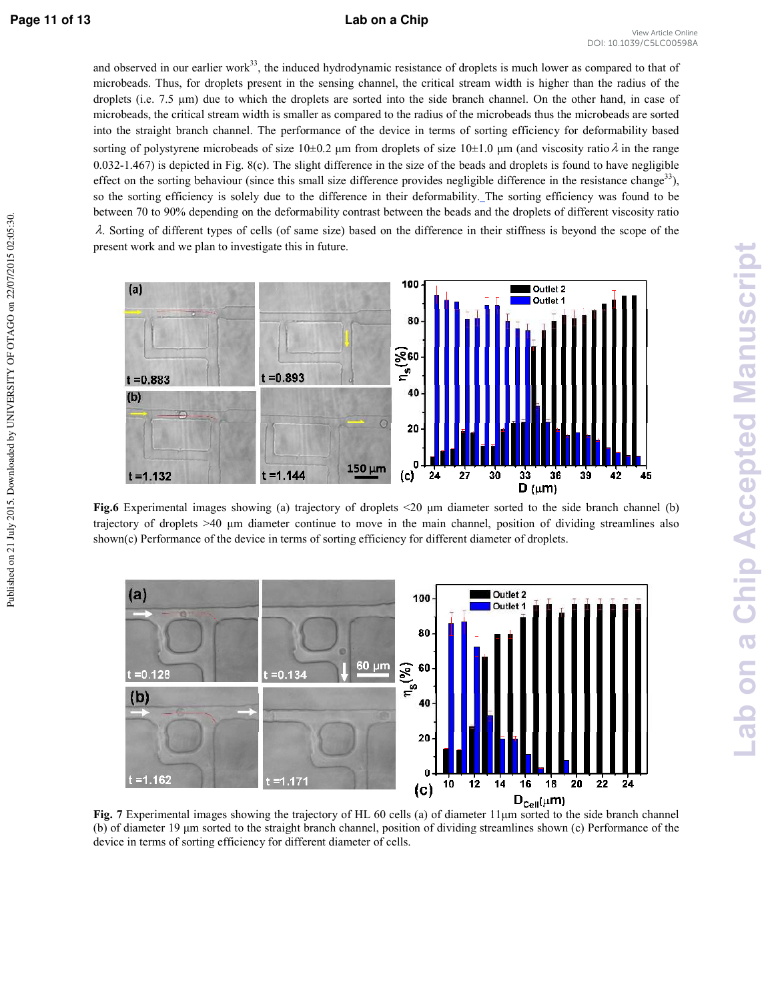#### **Page 11 of 13 Lab on a Chip**

and observed in our earlier work $33$ , the induced hydrodynamic resistance of droplets is much lower as compared to that of microbeads. Thus, for droplets present in the sensing channel, the critical stream width is higher than the radius of the droplets (i.e. 7.5 µm) due to which the droplets are sorted into the side branch channel. On the other hand, in case of microbeads, the critical stream width is smaller as compared to the radius of the microbeads thus the microbeads are sorted into the straight branch channel. The performance of the device in terms of sorting efficiency for deformability based sorting of polystyrene microbeads of size  $10\pm0.2$  µm from droplets of size  $10\pm1.0$  µm (and viscosity ratio  $\lambda$  in the range  $0.032$ -1.467) is depicted in Fig. 8(c). The slight difference in the size of the beads and droplets is found to have negligible effect on the sorting behaviour (since this small size difference provides negligible difference in the resistance change<sup>33</sup>), so the sorting efficiency is solely due to the difference in their deformability. The sorting efficiency was found to be between 70 to 90% depending on the deformability contrast between the beads and the droplets of different viscosity ratio  $\lambda$ . Sorting of different types of cells (of same size) based on the difference in their stiffness is beyond the scope of the present work and we plan to investigate this in future.



**Fig.6** Experimental images showing (a) trajectory of droplets <20  $\mu$ m diameter sorted to the side branch channel (b) trajectory of droplets  $>40$  um diameter continue to move in the main channel, position of dividing streamlines also shown(c) Performance of the device in terms of sorting efficiency for different diameter of droplets.



Fig. 7 Experimental images showing the trajectory of HL 60 cells (a) of diameter  $11 \mu m$  sorted to the side branch channel (b) of diameter  $19 \mu m$  sorted to the straight branch channel, position of dividing streamlines shown (c) Performance of the device in terms of sorting efficiency for different diameter of cells.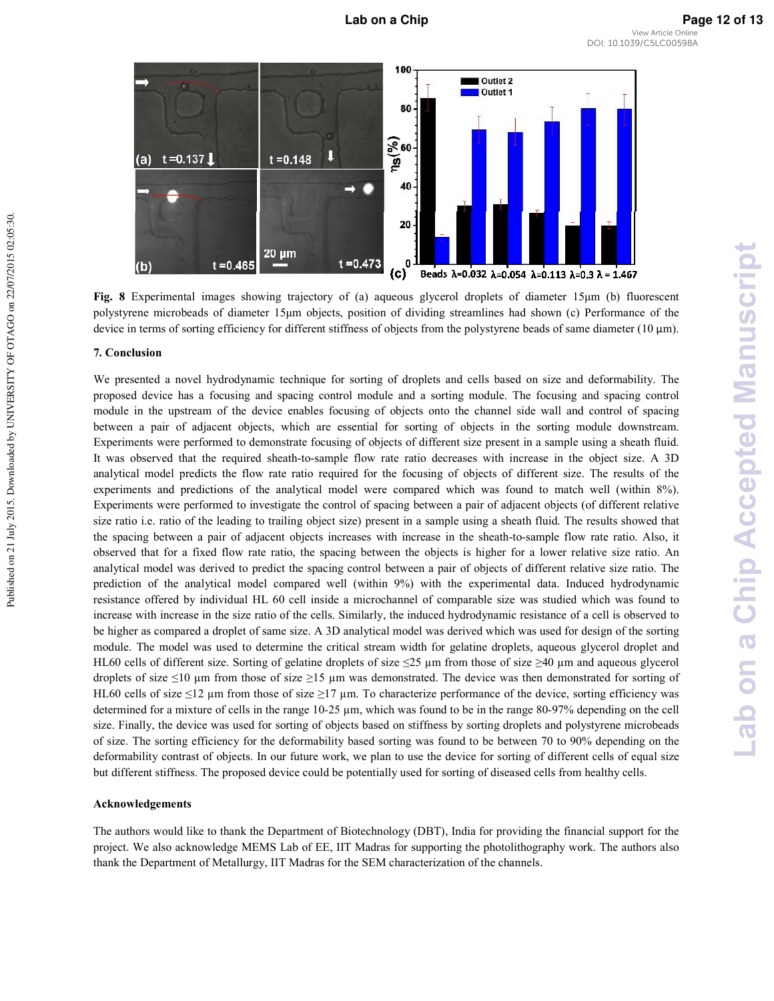

**Fig. 8** Experimental images showing trajectory of (a) aqueous glycerol droplets of diameter  $15\mu m$  (b) fluorescent polystyrene microbeads of diameter 15µm objects, position of dividing streamlines had shown (c) Performance of the device in terms of sorting efficiency for different stiffness of objects from the polystyrene beads of same diameter (10 μm).

#### **' )-**

We presented a novel hydrodynamic technique for sorting of droplets and cells based on size and deformability. The proposed device has a focusing and spacing control module and a sorting module. The focusing and spacing control module in the upstream of the device enables focusing of objects onto the channel side wall and control of spacing between a pair of adjacent objects, which are essential for sorting of objects in the sorting module downstream. Experiments were performed to demonstrate focusing of objects of different size present in a sample using a sheath fluid. It was observed that the required sheath-to-sample flow rate ratio decreases with increase in the object size. A 3D analytical model predicts the flow rate ratio required for the focusing of objects of different size. The results of the experiments and predictions of the analytical model were compared which was found to match well (within 8%). Experiments were performed to investigate the control of spacing between a pair of adjacent objects (of different relative size ratio i.e. ratio of the leading to trailing object size) present in a sample using a sheath fluid. The results showed that the spacing between a pair of adjacent objects increases with increase in the sheath-to-sample flow rate ratio. Also, it observed that for a fixed flow rate ratio, the spacing between the objects is higher for a lower relative size ratio. An analytical model was derived to predict the spacing control between a pair of objects of different relative size ratio. The prediction of the analytical model compared well (within 9%) with the experimental data. Induced hydrodynamic resistance offered by individual HL 60 cell inside a microchannel of comparable size was studied which was found to increase with increase in the size ratio of the cells. Similarly, the induced hydrodynamic resistance of a cell is observed to be higher as compared a droplet of same size. A 3D analytical model was derived which was used for design of the sorting module. The model was used to determine the critical stream width for gelatine droplets, aqueous glycerol droplet and HL60 cells of different size. Sorting of gelatine droplets of size  $\leq$ 25 µm from those of size  $\geq$ 40 µm and aqueous glycerol droplets of size  $\leq 10$  µm from those of size  $\geq 15$  µm was demonstrated. The device was then demonstrated for sorting of HL60 cells of size  $\leq 12$  µm from those of size  $\geq 17$  µm. To characterize performance of the device, sorting efficiency was determined for a mixture of cells in the range  $10-25 \mu m$ , which was found to be in the range 80-97% depending on the cell size. Finally, the device was used for sorting of objects based on stiffness by sorting droplets and polystyrene microbeads of size. The sorting efficiency for the deformability based sorting was found to be between 70 to 90% depending on the deformability contrast of objects. In our future work, we plan to use the device for sorting of different cells of equal size but different stiffness. The proposed device could be potentially used for sorting of diseased cells from healthy cells.

#### **Acknowledgements**

The authors would like to thank the Department of Biotechnology (DBT), India for providing the financial support for the project. We also acknowledge MEMS Lab of EE, IIT Madras for supporting the photolithography work. The authors also thank the Department of Metallurgy, IIT Madras for the SEM characterization of the channels.